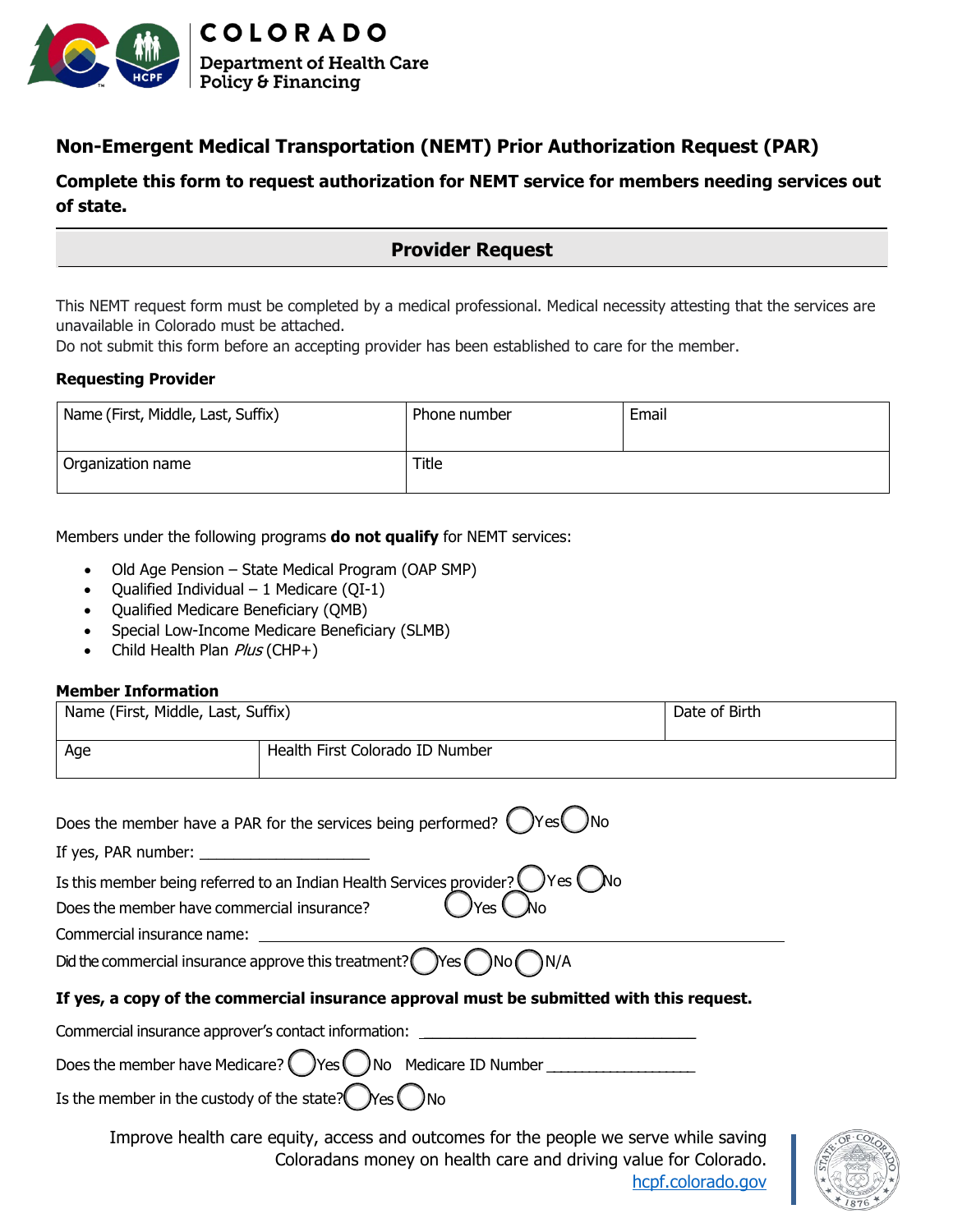

# **Non-Emergent Medical Transportation (NEMT) Prior Authorization Request (PAR)**

## **Complete this form to request authorization for NEMT service for members needing services out of state.**

**Provider Request**

This NEMT request form must be completed by a medical professional. Medical necessity attesting that the services are unavailable in Colorado must be attached.

Do not submit this form before an accepting provider has been established to care for the member.

#### **Requesting Provider**

| Name (First, Middle, Last, Suffix) | Phone number | Email |
|------------------------------------|--------------|-------|
| Organization name                  | Title        |       |

#### Members under the following programs **do not qualify** for NEMT services:

- Old Age Pension State Medical Program (OAP SMP)
- Qualified Individual 1 Medicare (QI-1)
- Qualified Medicare Beneficiary (QMB)
- Special Low-Income Medicare Beneficiary (SLMB)
- Child Health Plan Plus (CHP+)

#### **Member Information**

| Name (First, Middle, Last, Suffix) |                                                                                  | Date of Birth |
|------------------------------------|----------------------------------------------------------------------------------|---------------|
| Age                                | Health First Colorado ID Number                                                  |               |
|                                    | . )No<br>Does the member have a PAR for the services being performed? (<br>)Yes( |               |

If yes, PAR number:

Is this member being referred to an Indian Health Services provider?  $\bigcirc$  Yes  $\bigcirc$  No Does the member have commercial insurance?  $\Box$  Yes  $\Box$ 

Commercial insurance name:

Did the commercial insurance approve this treatment? ( $\gamma$ Yes  $\gamma$ )No  $\gamma$ )N/A

### **If yes, a copy of the commercial insurance approval must be submitted with this request.**

Commercial insurance approver's contact information:

Does the member have Medicare?  $\bigcirc$  Yes  $\bigcirc$  No Medicare ID Number

Is the member in the custody of the state?  $\mathcal{N}$ es  $\mathcal{N}$ 

Improve health care equity, access and outcomes for the people we serve while saving Coloradans money on health care and driving value for Colorado. [hcpf.colorado.gov](https://hcpf.colorado.gov/)